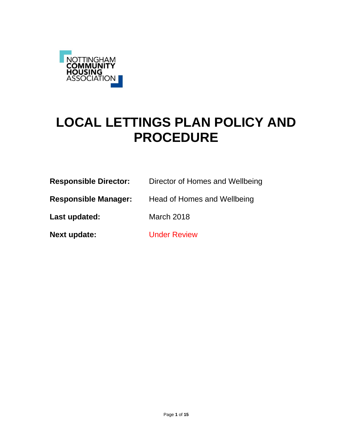

# **LOCAL LETTINGS PLAN POLICY AND PROCEDURE**

| <b>Responsible Director:</b> | Director of Homes and Wellbeing |
|------------------------------|---------------------------------|
| <b>Responsible Manager:</b>  | Head of Homes and Wellbeing     |
| Last updated:                | March 2018                      |
| Next update:                 | <b>Under Review</b>             |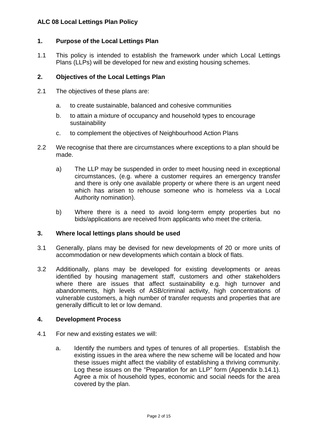## **1. Purpose of the Local Lettings Plan**

1.1 This policy is intended to establish the framework under which Local Lettings Plans (LLPs) will be developed for new and existing housing schemes.

## **2. Objectives of the Local Lettings Plan**

- 2.1 The objectives of these plans are:
	- a. to create sustainable, balanced and cohesive communities
	- b. to attain a mixture of occupancy and household types to encourage sustainability
	- c. to complement the objectives of Neighbourhood Action Plans
- 2.2 We recognise that there are circumstances where exceptions to a plan should be made.
	- a) The LLP may be suspended in order to meet housing need in exceptional circumstances, (e.g. where a customer requires an emergency transfer and there is only one available property or where there is an urgent need which has arisen to rehouse someone who is homeless via a Local Authority nomination).
	- b) Where there is a need to avoid long-term empty properties but no bids/applications are received from applicants who meet the criteria.

### **3. Where local lettings plans should be used**

- 3.1 Generally, plans may be devised for new developments of 20 or more units of accommodation or new developments which contain a block of flats.
- 3.2 Additionally, plans may be developed for existing developments or areas identified by housing management staff, customers and other stakeholders where there are issues that affect sustainability e.g. high turnover and abandonments, high levels of ASB/criminal activity, high concentrations of vulnerable customers, a high number of transfer requests and properties that are generally difficult to let or low demand.

### **4. Development Process**

- 4.1 For new and existing estates we will:
	- a. Identify the numbers and types of tenures of all properties. Establish the existing issues in the area where the new scheme will be located and how these issues might affect the viability of establishing a thriving community. Log these issues on the "Preparation for an LLP" form (Appendix b.14.1). Agree a mix of household types, economic and social needs for the area covered by the plan.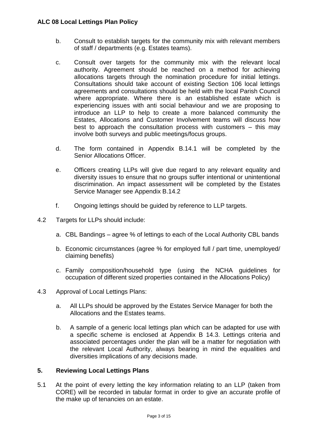- b. Consult to establish targets for the community mix with relevant members of staff / departments (e.g. Estates teams).
- c. Consult over targets for the community mix with the relevant local authority. Agreement should be reached on a method for achieving allocations targets through the nomination procedure for initial lettings. Consultations should take account of existing Section 106 local lettings agreements and consultations should be held with the local Parish Council where appropriate. Where there is an established estate which is experiencing issues with anti social behaviour and we are proposing to introduce an LLP to help to create a more balanced community the Estates, Allocations and Customer Involvement teams will discuss how best to approach the consultation process with customers – this may involve both surveys and public meetings/focus groups.
- d. The form contained in Appendix B.14.1 will be completed by the Senior Allocations Officer.
- e. Officers creating LLPs will give due regard to any relevant equality and diversity issues to ensure that no groups suffer intentional or unintentional discrimination. An impact assessment will be completed by the Estates Service Manager see Appendix B.14.2
- f. Ongoing lettings should be guided by reference to LLP targets.
- 4.2 Targets for LLPs should include:
	- a. CBL Bandings agree % of lettings to each of the Local Authority CBL bands
	- b. Economic circumstances (agree % for employed full / part time, unemployed/ claiming benefits)
	- c. Family composition/household type (using the NCHA guidelines for occupation of different sized properties contained in the Allocations Policy)
- 4.3 Approval of Local Lettings Plans:
	- a. All LLPs should be approved by the Estates Service Manager for both the Allocations and the Estates teams.
	- b. A sample of a generic local lettings plan which can be adapted for use with a specific scheme is enclosed at Appendix B 14.3. Lettings criteria and associated percentages under the plan will be a matter for negotiation with the relevant Local Authority, always bearing in mind the equalities and diversities implications of any decisions made.

# **5. Reviewing Local Lettings Plans**

5.1 At the point of every letting the key information relating to an LLP (taken from CORE) will be recorded in tabular format in order to give an accurate profile of the make up of tenancies on an estate.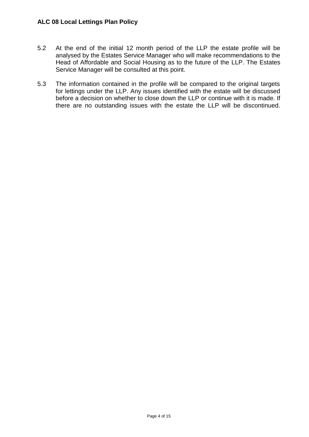- 5.2 At the end of the initial 12 month period of the LLP the estate profile will be analysed by the Estates Service Manager who will make recommendations to the Head of Affordable and Social Housing as to the future of the LLP. The Estates Service Manager will be consulted at this point.
- 5.3 The information contained in the profile will be compared to the original targets for lettings under the LLP. Any issues identified with the estate will be discussed before a decision on whether to close down the LLP or continue with it is made. If there are no outstanding issues with the estate the LLP will be discontinued.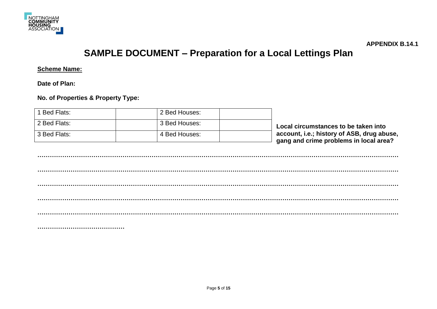

**APPENDIX B.14.1**

# **SAMPLE DOCUMENT – Preparation for a Local Lettings Plan**

**Scheme Name:**

**Date of Plan:**

**No. of Properties & Property Type:**

| 1 Bed Flats: | 2 Bed Houses: |                                                                                      |
|--------------|---------------|--------------------------------------------------------------------------------------|
| 2 Bed Flats: | 3 Bed Houses: | Local circumstances to be taken into                                                 |
| 3 Bed Flats: | 4 Bed Houses: | account, i.e.; history of ASB, drug abuse,<br>gang and crime problems in local area? |
|              |               |                                                                                      |
|              |               |                                                                                      |
|              |               |                                                                                      |
|              |               |                                                                                      |
|              |               |                                                                                      |
|              |               |                                                                                      |
|              |               |                                                                                      |

**……………………………………**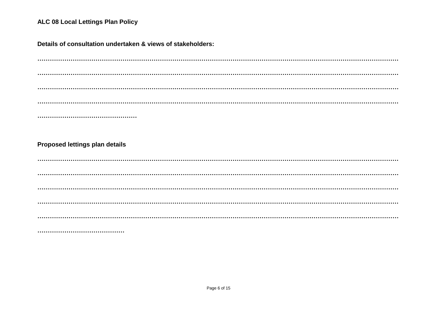Details of consultation undertaken & views of stakeholders:

**Proposed lettings plan details**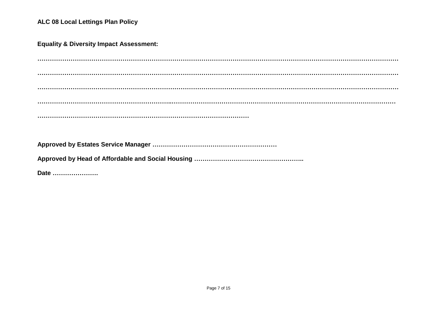**Equality & Diversity Impact Assessment:**

**………………………………………………………………………………………………………………………………………………………… ………………………………………………………………………………………………………………………………………………………… ………………………………………………………………………………………………………………………………………………………… ………………………………………………………..……………………………………………………………………………………………… ………………………………………………………………………………………… Approved by Estates Service Manager …………………………………………………… Approved by Head of Affordable and Social Housing ……………………………………………..**

**Date ………………….**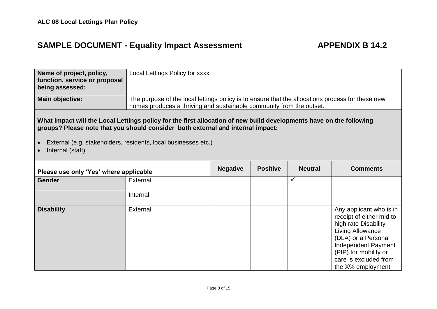# SAMPLE DOCUMENT - Equality Impact Assessment **APPENDIX B 14.2**

| Name of project, policy,<br>function, service or proposal<br>being assessed:                                                                                                                                                                                                                 | Local Lettings Policy for xxxx                                                                                                                                           |                 |                 |                |                                                                                                                                                                        |
|----------------------------------------------------------------------------------------------------------------------------------------------------------------------------------------------------------------------------------------------------------------------------------------------|--------------------------------------------------------------------------------------------------------------------------------------------------------------------------|-----------------|-----------------|----------------|------------------------------------------------------------------------------------------------------------------------------------------------------------------------|
| Main objective:                                                                                                                                                                                                                                                                              | The purpose of the local lettings policy is to ensure that the allocations process for these new<br>homes produces a thriving and sustainable community from the outset. |                 |                 |                |                                                                                                                                                                        |
| What impact will the Local Lettings policy for the first allocation of new build developments have on the following<br>groups? Please note that you should consider both external and internal impact:<br>External (e.g. stakeholders, residents, local businesses etc.)<br>Internal (staff) |                                                                                                                                                                          |                 |                 |                |                                                                                                                                                                        |
| Please use only 'Yes' where applicable                                                                                                                                                                                                                                                       |                                                                                                                                                                          | <b>Negative</b> | <b>Positive</b> | <b>Neutral</b> | <b>Comments</b>                                                                                                                                                        |
| <b>Gender</b>                                                                                                                                                                                                                                                                                | External                                                                                                                                                                 |                 |                 | ✓              |                                                                                                                                                                        |
|                                                                                                                                                                                                                                                                                              | Internal                                                                                                                                                                 |                 |                 |                |                                                                                                                                                                        |
| <b>Disability</b>                                                                                                                                                                                                                                                                            | External                                                                                                                                                                 |                 |                 |                | Any applicant who is in<br>receipt of either mid to<br>high rate Disability<br>Living Allowance<br>(DLA) or a Personal<br>Independent Payment<br>(PIP) for mobility or |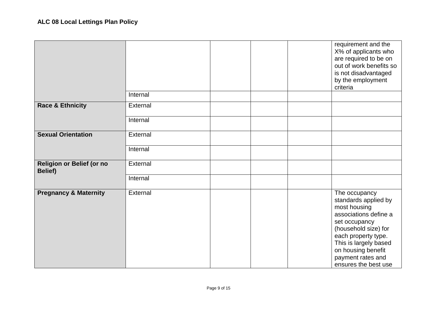|                                             |          |  | requirement and the<br>X% of applicants who<br>are required to be on<br>out of work benefits so<br>is not disadvantaged<br>by the employment<br>criteria                                                                                   |
|---------------------------------------------|----------|--|--------------------------------------------------------------------------------------------------------------------------------------------------------------------------------------------------------------------------------------------|
|                                             | Internal |  |                                                                                                                                                                                                                                            |
| <b>Race &amp; Ethnicity</b>                 | External |  |                                                                                                                                                                                                                                            |
|                                             | Internal |  |                                                                                                                                                                                                                                            |
| <b>Sexual Orientation</b>                   | External |  |                                                                                                                                                                                                                                            |
|                                             | Internal |  |                                                                                                                                                                                                                                            |
| Religion or Belief (or no<br><b>Belief)</b> | External |  |                                                                                                                                                                                                                                            |
|                                             | Internal |  |                                                                                                                                                                                                                                            |
| <b>Pregnancy &amp; Maternity</b>            | External |  | The occupancy<br>standards applied by<br>most housing<br>associations define a<br>set occupancy<br>(household size) for<br>each property type.<br>This is largely based<br>on housing benefit<br>payment rates and<br>ensures the best use |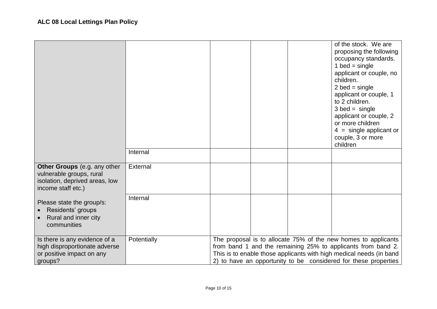|                                                                                                                  | Internal    |  | of the stock. We are<br>proposing the following<br>occupancy standards.<br>1 bed = single<br>applicant or couple, no<br>children.<br>$2$ bed = single<br>applicant or couple, 1<br>to 2 children.<br>$3$ bed = single<br>applicant or couple, 2<br>or more children<br>$4 =$ single applicant or<br>couple, 3 or more<br>children |
|------------------------------------------------------------------------------------------------------------------|-------------|--|-----------------------------------------------------------------------------------------------------------------------------------------------------------------------------------------------------------------------------------------------------------------------------------------------------------------------------------|
| Other Groups (e.g. any other<br>vulnerable groups, rural<br>isolation, deprived areas, low<br>income staff etc.) | External    |  |                                                                                                                                                                                                                                                                                                                                   |
| Please state the group/s:<br>Residents' groups<br>Rural and inner city<br>communities                            | Internal    |  |                                                                                                                                                                                                                                                                                                                                   |
| Is there is any evidence of a<br>high disproportionate adverse<br>or positive impact on any<br>groups?           | Potentially |  | The proposal is to allocate 75% of the new homes to applicants<br>from band 1 and the remaining 25% to applicants from band 2.<br>This is to enable those applicants with high medical needs (in band<br>2) to have an opportunity to be considered for these properties                                                          |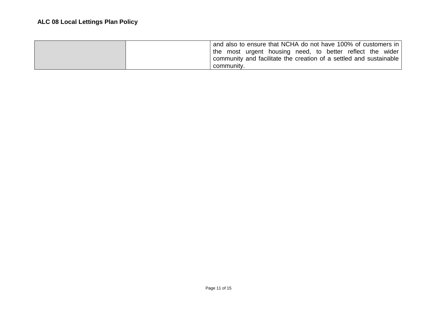| and also to ensure that NCHA do not have 100% of customers in      |
|--------------------------------------------------------------------|
| I the most urgent housing need, to better reflect the wider        |
| community and facilitate the creation of a settled and sustainable |
| community.                                                         |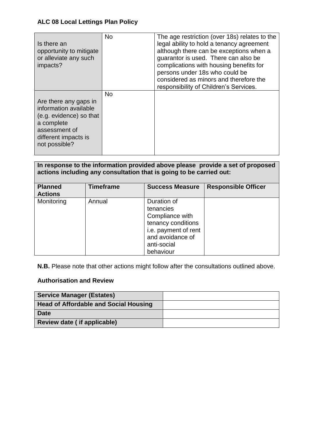| Is there an<br>opportunity to mitigate<br>or alleviate any such<br>impacts?                                                                       | <b>No</b> | The age restriction (over 18s) relates to the<br>legal ability to hold a tenancy agreement<br>although there can be exceptions when a<br>guarantor is used. There can also be<br>complications with housing benefits for<br>persons under 18s who could be<br>considered as minors and therefore the<br>responsibility of Children's Services. |
|---------------------------------------------------------------------------------------------------------------------------------------------------|-----------|------------------------------------------------------------------------------------------------------------------------------------------------------------------------------------------------------------------------------------------------------------------------------------------------------------------------------------------------|
| Are there any gaps in<br>information available<br>(e.g. evidence) so that<br>a complete<br>assessment of<br>different impacts is<br>not possible? | <b>No</b> |                                                                                                                                                                                                                                                                                                                                                |

# **In response to the information provided above please provide a set of proposed actions including any consultation that is going to be carried out:**

| <b>Planned</b><br><b>Actions</b> | <b>Timeframe</b> | <b>Success Measure</b>                                                                                                                    | <b>Responsible Officer</b> |
|----------------------------------|------------------|-------------------------------------------------------------------------------------------------------------------------------------------|----------------------------|
| Monitoring                       | Annual           | Duration of<br>tenancies<br>Compliance with<br>tenancy conditions<br>i.e. payment of rent<br>and avoidance of<br>anti-social<br>behaviour |                            |

**N.B.** Please note that other actions might follow after the consultations outlined above.

# **Authorisation and Review**

| <b>Service Manager (Estates)</b>             |  |
|----------------------------------------------|--|
| <b>Head of Affordable and Social Housing</b> |  |
| <b>Date</b>                                  |  |
| Review date (if applicable)                  |  |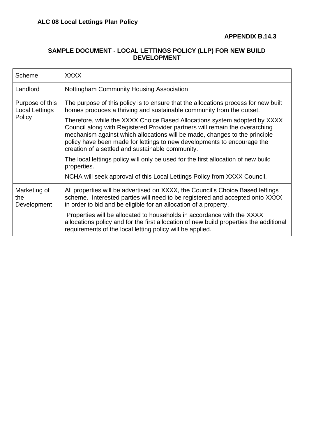# **SAMPLE DOCUMENT - LOCAL LETTINGS POLICY (LLP) FOR NEW BUILD DEVELOPMENT**

| Scheme                                   | <b>XXXX</b>                                                                                                                                                                                                                                                                                                                                                           |
|------------------------------------------|-----------------------------------------------------------------------------------------------------------------------------------------------------------------------------------------------------------------------------------------------------------------------------------------------------------------------------------------------------------------------|
| Landlord                                 | Nottingham Community Housing Association                                                                                                                                                                                                                                                                                                                              |
| Purpose of this<br><b>Local Lettings</b> | The purpose of this policy is to ensure that the allocations process for new built<br>homes produces a thriving and sustainable community from the outset.                                                                                                                                                                                                            |
| Policy                                   | Therefore, while the XXXX Choice Based Allocations system adopted by XXXX<br>Council along with Registered Provider partners will remain the overarching<br>mechanism against which allocations will be made, changes to the principle<br>policy have been made for lettings to new developments to encourage the<br>creation of a settled and sustainable community. |
|                                          | The local lettings policy will only be used for the first allocation of new build<br>properties.                                                                                                                                                                                                                                                                      |
|                                          | NCHA will seek approval of this Local Lettings Policy from XXXX Council.                                                                                                                                                                                                                                                                                              |
| Marketing of<br>the<br>Development       | All properties will be advertised on XXXX, the Council's Choice Based lettings<br>scheme. Interested parties will need to be registered and accepted onto XXXX<br>in order to bid and be eligible for an allocation of a property.                                                                                                                                    |
|                                          | Properties will be allocated to households in accordance with the XXXX<br>allocations policy and for the first allocation of new build properties the additional<br>requirements of the local letting policy will be applied.                                                                                                                                         |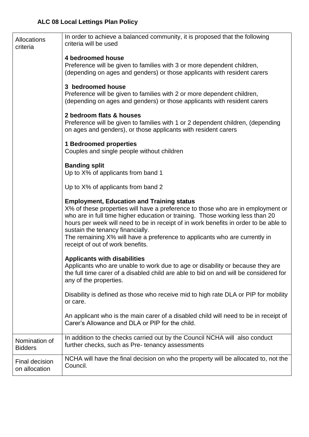| Allocations<br>criteria                | In order to achieve a balanced community, it is proposed that the following<br>criteria will be used                                                                                                                                                                                                                                                                                                                                                               |
|----------------------------------------|--------------------------------------------------------------------------------------------------------------------------------------------------------------------------------------------------------------------------------------------------------------------------------------------------------------------------------------------------------------------------------------------------------------------------------------------------------------------|
|                                        | 4 bedroomed house<br>Preference will be given to families with 3 or more dependent children,<br>(depending on ages and genders) or those applicants with resident carers                                                                                                                                                                                                                                                                                           |
|                                        | 3 bedroomed house<br>Preference will be given to families with 2 or more dependent children,<br>(depending on ages and genders) or those applicants with resident carers                                                                                                                                                                                                                                                                                           |
|                                        | 2 bedroom flats & houses<br>Preference will be given to families with 1 or 2 dependent children, (depending<br>on ages and genders), or those applicants with resident carers                                                                                                                                                                                                                                                                                      |
|                                        | <b>1 Bedroomed properties</b><br>Couples and single people without children                                                                                                                                                                                                                                                                                                                                                                                        |
|                                        | <b>Banding split</b><br>Up to X% of applicants from band 1                                                                                                                                                                                                                                                                                                                                                                                                         |
|                                        | Up to X% of applicants from band 2                                                                                                                                                                                                                                                                                                                                                                                                                                 |
|                                        | <b>Employment, Education and Training status</b><br>X% of these properties will have a preference to those who are in employment or<br>who are in full time higher education or training. Those working less than 20<br>hours per week will need to be in receipt of in work benefits in order to be able to<br>sustain the tenancy financially.<br>The remaining X% will have a preference to applicants who are currently in<br>receipt of out of work benefits. |
|                                        | <b>Applicants with disabilities</b><br>Applicants who are unable to work due to age or disability or because they are<br>the full time carer of a disabled child are able to bid on and will be considered for<br>any of the properties.                                                                                                                                                                                                                           |
|                                        | Disability is defined as those who receive mid to high rate DLA or PIP for mobility<br>or care.                                                                                                                                                                                                                                                                                                                                                                    |
|                                        | An applicant who is the main carer of a disabled child will need to be in receipt of<br>Carer's Allowance and DLA or PIP for the child.                                                                                                                                                                                                                                                                                                                            |
| Nomination of<br><b>Bidders</b>        | In addition to the checks carried out by the Council NCHA will also conduct<br>further checks, such as Pre-tenancy assessments                                                                                                                                                                                                                                                                                                                                     |
| <b>Final decision</b><br>on allocation | NCHA will have the final decision on who the property will be allocated to, not the<br>Council.                                                                                                                                                                                                                                                                                                                                                                    |